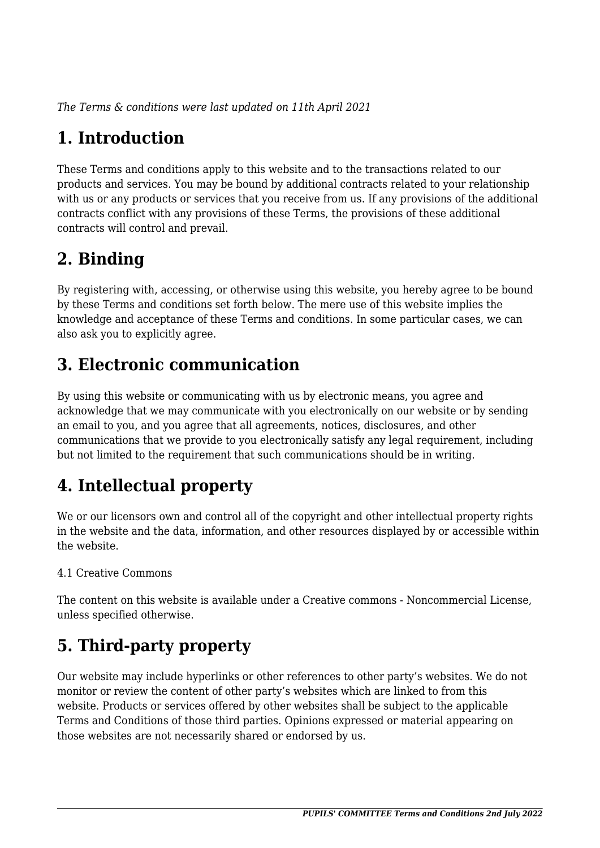*The Terms & conditions were last updated on 11th April 2021*

# **1. Introduction**

These Terms and conditions apply to this website and to the transactions related to our products and services. You may be bound by additional contracts related to your relationship with us or any products or services that you receive from us. If any provisions of the additional contracts conflict with any provisions of these Terms, the provisions of these additional contracts will control and prevail.

# **2. Binding**

By registering with, accessing, or otherwise using this website, you hereby agree to be bound by these Terms and conditions set forth below. The mere use of this website implies the knowledge and acceptance of these Terms and conditions. In some particular cases, we can also ask you to explicitly agree.

# **3. Electronic communication**

By using this website or communicating with us by electronic means, you agree and acknowledge that we may communicate with you electronically on our website or by sending an email to you, and you agree that all agreements, notices, disclosures, and other communications that we provide to you electronically satisfy any legal requirement, including but not limited to the requirement that such communications should be in writing.

# **4. Intellectual property**

We or our licensors own and control all of the copyright and other intellectual property rights in the website and the data, information, and other resources displayed by or accessible within the website.

#### 4.1 Creative Commons

The content on this website is available under a Creative commons - Noncommercial License, unless specified otherwise.

# **5. Third-party property**

Our website may include hyperlinks or other references to other party's websites. We do not monitor or review the content of other party's websites which are linked to from this website. Products or services offered by other websites shall be subject to the applicable Terms and Conditions of those third parties. Opinions expressed or material appearing on those websites are not necessarily shared or endorsed by us.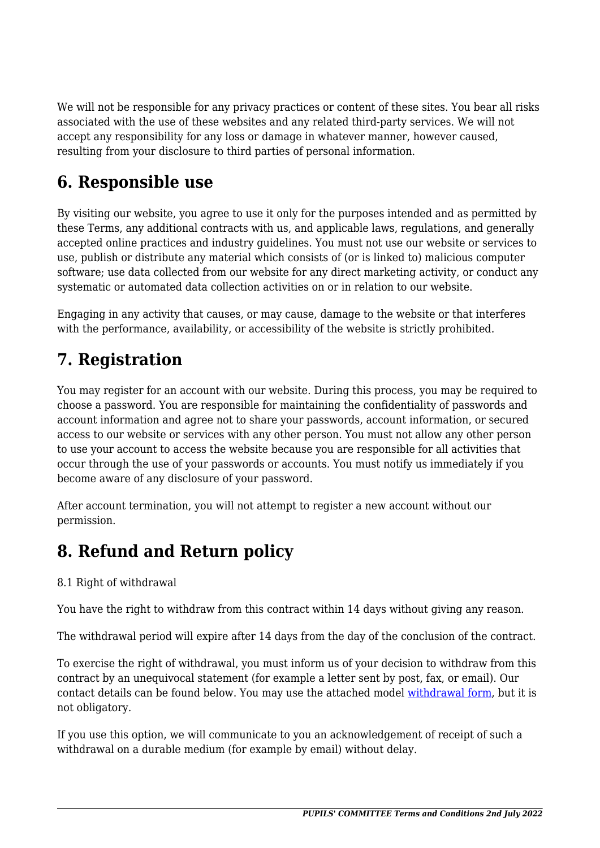We will not be responsible for any privacy practices or content of these sites. You bear all risks associated with the use of these websites and any related third-party services. We will not accept any responsibility for any loss or damage in whatever manner, however caused, resulting from your disclosure to third parties of personal information.

#### **6. Responsible use**

By visiting our website, you agree to use it only for the purposes intended and as permitted by these Terms, any additional contracts with us, and applicable laws, regulations, and generally accepted online practices and industry guidelines. You must not use our website or services to use, publish or distribute any material which consists of (or is linked to) malicious computer software; use data collected from our website for any direct marketing activity, or conduct any systematic or automated data collection activities on or in relation to our website.

Engaging in any activity that causes, or may cause, damage to the website or that interferes with the performance, availability, or accessibility of the website is strictly prohibited.

## **7. Registration**

You may register for an account with our website. During this process, you may be required to choose a password. You are responsible for maintaining the confidentiality of passwords and account information and agree not to share your passwords, account information, or secured access to our website or services with any other person. You must not allow any other person to use your account to access the website because you are responsible for all activities that occur through the use of your passwords or accounts. You must notify us immediately if you become aware of any disclosure of your password.

After account termination, you will not attempt to register a new account without our permission.

# **8. Refund and Return policy**

#### 8.1 Right of withdrawal

You have the right to withdraw from this contract within 14 days without giving any reason.

The withdrawal period will expire after 14 days from the day of the conclusion of the contract.

To exercise the right of withdrawal, you must inform us of your decision to withdraw from this contract by an unequivocal statement (for example a letter sent by post, fax, or email). Our contact details can be found below. You may use the attached model [withdrawal form](https://pupilscom-mamer.eu/wp-content/uploads/complianz/withdrawal-forms/withdrawal-form-en.pdf), but it is not obligatory.

If you use this option, we will communicate to you an acknowledgement of receipt of such a withdrawal on a durable medium (for example by email) without delay.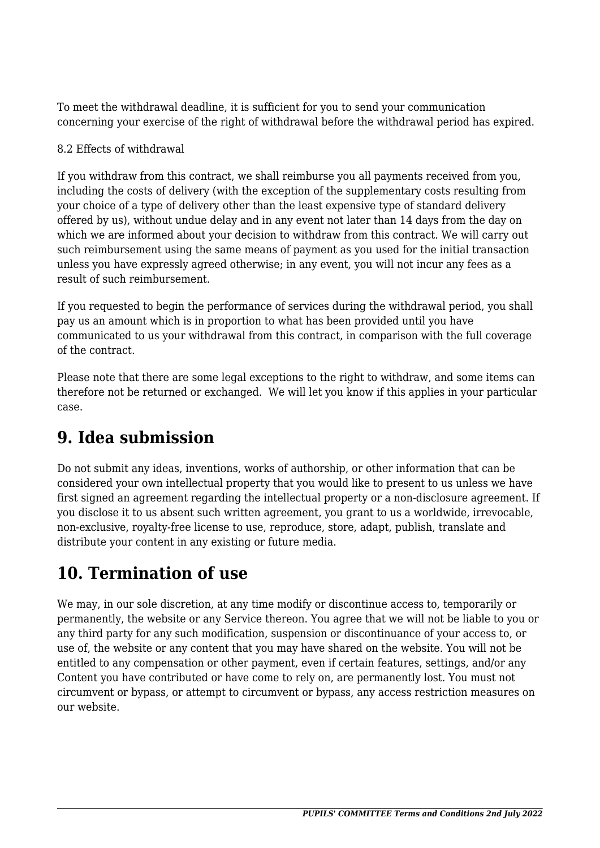To meet the withdrawal deadline, it is sufficient for you to send your communication concerning your exercise of the right of withdrawal before the withdrawal period has expired.

#### 8.2 Effects of withdrawal

If you withdraw from this contract, we shall reimburse you all payments received from you, including the costs of delivery (with the exception of the supplementary costs resulting from your choice of a type of delivery other than the least expensive type of standard delivery offered by us), without undue delay and in any event not later than 14 days from the day on which we are informed about your decision to withdraw from this contract. We will carry out such reimbursement using the same means of payment as you used for the initial transaction unless you have expressly agreed otherwise; in any event, you will not incur any fees as a result of such reimbursement.

If you requested to begin the performance of services during the withdrawal period, you shall pay us an amount which is in proportion to what has been provided until you have communicated to us your withdrawal from this contract, in comparison with the full coverage of the contract.

Please note that there are some legal exceptions to the right to withdraw, and some items can therefore not be returned or exchanged. We will let you know if this applies in your particular case.

## **9. Idea submission**

Do not submit any ideas, inventions, works of authorship, or other information that can be considered your own intellectual property that you would like to present to us unless we have first signed an agreement regarding the intellectual property or a non-disclosure agreement. If you disclose it to us absent such written agreement, you grant to us a worldwide, irrevocable, non-exclusive, royalty-free license to use, reproduce, store, adapt, publish, translate and distribute your content in any existing or future media.

## **10. Termination of use**

We may, in our sole discretion, at any time modify or discontinue access to, temporarily or permanently, the website or any Service thereon. You agree that we will not be liable to you or any third party for any such modification, suspension or discontinuance of your access to, or use of, the website or any content that you may have shared on the website. You will not be entitled to any compensation or other payment, even if certain features, settings, and/or any Content you have contributed or have come to rely on, are permanently lost. You must not circumvent or bypass, or attempt to circumvent or bypass, any access restriction measures on our website.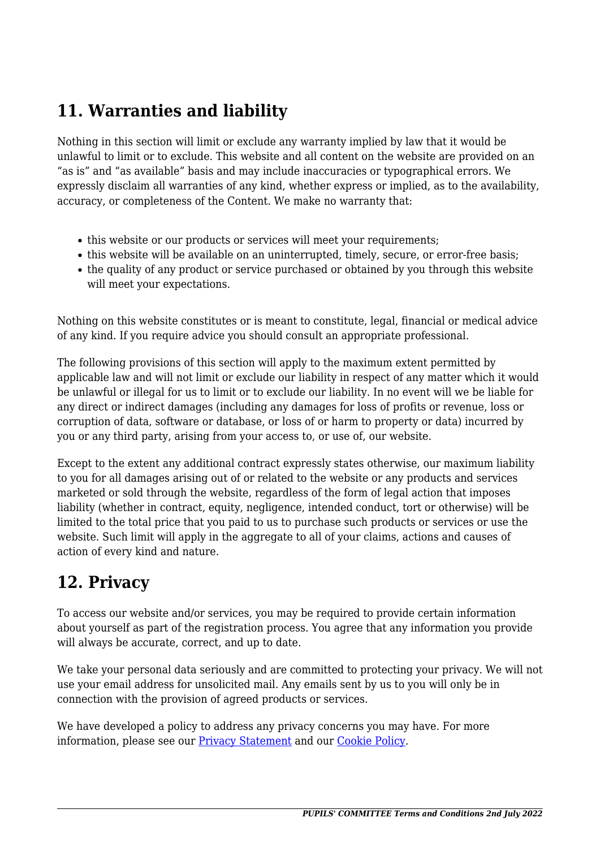# **11. Warranties and liability**

Nothing in this section will limit or exclude any warranty implied by law that it would be unlawful to limit or to exclude. This website and all content on the website are provided on an "as is" and "as available" basis and may include inaccuracies or typographical errors. We expressly disclaim all warranties of any kind, whether express or implied, as to the availability, accuracy, or completeness of the Content. We make no warranty that:

- this website or our products or services will meet your requirements:
- this website will be available on an uninterrupted, timely, secure, or error-free basis;
- the quality of any product or service purchased or obtained by you through this website will meet your expectations.

Nothing on this website constitutes or is meant to constitute, legal, financial or medical advice of any kind. If you require advice you should consult an appropriate professional.

The following provisions of this section will apply to the maximum extent permitted by applicable law and will not limit or exclude our liability in respect of any matter which it would be unlawful or illegal for us to limit or to exclude our liability. In no event will we be liable for any direct or indirect damages (including any damages for loss of profits or revenue, loss or corruption of data, software or database, or loss of or harm to property or data) incurred by you or any third party, arising from your access to, or use of, our website.

Except to the extent any additional contract expressly states otherwise, our maximum liability to you for all damages arising out of or related to the website or any products and services marketed or sold through the website, regardless of the form of legal action that imposes liability (whether in contract, equity, negligence, intended conduct, tort or otherwise) will be limited to the total price that you paid to us to purchase such products or services or use the website. Such limit will apply in the aggregate to all of your claims, actions and causes of action of every kind and nature.

## **12. Privacy**

To access our website and/or services, you may be required to provide certain information about yourself as part of the registration process. You agree that any information you provide will always be accurate, correct, and up to date.

We take your personal data seriously and are committed to protecting your privacy. We will not use your email address for unsolicited mail. Any emails sent by us to you will only be in connection with the provision of agreed products or services.

We have developed a policy to address any privacy concerns you may have. For more information, please see our Privacy Statement and our [Cookie Policy](https://pupilscom-mamer.eu/cookie-policy-eu/).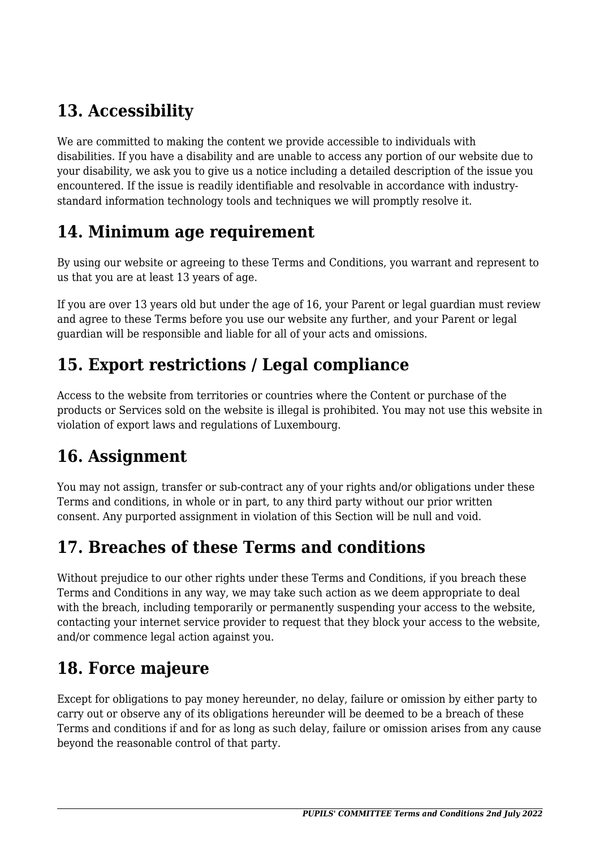# **13. Accessibility**

We are committed to making the content we provide accessible to individuals with disabilities. If you have a disability and are unable to access any portion of our website due to your disability, we ask you to give us a notice including a detailed description of the issue you encountered. If the issue is readily identifiable and resolvable in accordance with industrystandard information technology tools and techniques we will promptly resolve it.

#### **14. Minimum age requirement**

By using our website or agreeing to these Terms and Conditions, you warrant and represent to us that you are at least 13 years of age.

If you are over 13 years old but under the age of 16, your Parent or legal guardian must review and agree to these Terms before you use our website any further, and your Parent or legal guardian will be responsible and liable for all of your acts and omissions.

# **15. Export restrictions / Legal compliance**

Access to the website from territories or countries where the Content or purchase of the products or Services sold on the website is illegal is prohibited. You may not use this website in violation of export laws and regulations of Luxembourg.

# **16. Assignment**

You may not assign, transfer or sub-contract any of your rights and/or obligations under these Terms and conditions, in whole or in part, to any third party without our prior written consent. Any purported assignment in violation of this Section will be null and void.

## **17. Breaches of these Terms and conditions**

Without prejudice to our other rights under these Terms and Conditions, if you breach these Terms and Conditions in any way, we may take such action as we deem appropriate to deal with the breach, including temporarily or permanently suspending your access to the website, contacting your internet service provider to request that they block your access to the website, and/or commence legal action against you.

## **18. Force majeure**

Except for obligations to pay money hereunder, no delay, failure or omission by either party to carry out or observe any of its obligations hereunder will be deemed to be a breach of these Terms and conditions if and for as long as such delay, failure or omission arises from any cause beyond the reasonable control of that party.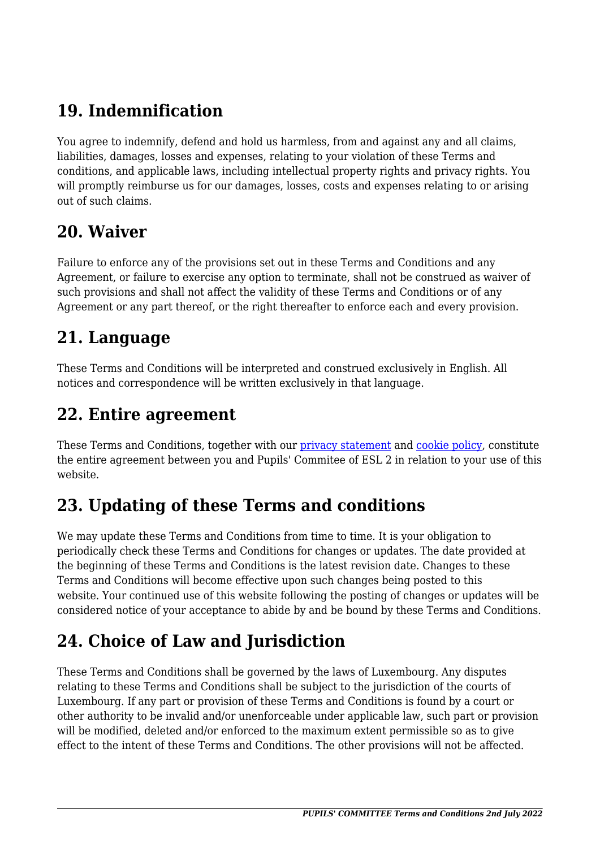# **19. Indemnification**

You agree to indemnify, defend and hold us harmless, from and against any and all claims, liabilities, damages, losses and expenses, relating to your violation of these Terms and conditions, and applicable laws, including intellectual property rights and privacy rights. You will promptly reimburse us for our damages, losses, costs and expenses relating to or arising out of such claims.

#### **20. Waiver**

Failure to enforce any of the provisions set out in these Terms and Conditions and any Agreement, or failure to exercise any option to terminate, shall not be construed as waiver of such provisions and shall not affect the validity of these Terms and Conditions or of any Agreement or any part thereof, or the right thereafter to enforce each and every provision.

## **21. Language**

These Terms and Conditions will be interpreted and construed exclusively in English. All notices and correspondence will be written exclusively in that language.

#### **22. Entire agreement**

These Terms and Conditions, together with our *privacy statement* and *cookie policy*, constitute the entire agreement between you and Pupils' Commitee of ESL 2 in relation to your use of this website.

# **23. Updating of these Terms and conditions**

We may update these Terms and Conditions from time to time. It is your obligation to periodically check these Terms and Conditions for changes or updates. The date provided at the beginning of these Terms and Conditions is the latest revision date. Changes to these Terms and Conditions will become effective upon such changes being posted to this website. Your continued use of this website following the posting of changes or updates will be considered notice of your acceptance to abide by and be bound by these Terms and Conditions.

# **24. Choice of Law and Jurisdiction**

These Terms and Conditions shall be governed by the laws of Luxembourg. Any disputes relating to these Terms and Conditions shall be subject to the jurisdiction of the courts of Luxembourg. If any part or provision of these Terms and Conditions is found by a court or other authority to be invalid and/or unenforceable under applicable law, such part or provision will be modified, deleted and/or enforced to the maximum extent permissible so as to give effect to the intent of these Terms and Conditions. The other provisions will not be affected.